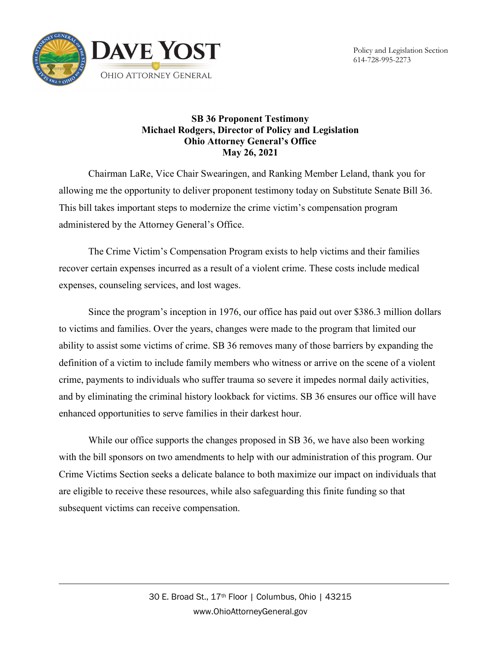



## **SB 36 Proponent Testimony Michael Rodgers, Director of Policy and Legislation Ohio Attorney General's Office May 26, 2021**

Chairman LaRe, Vice Chair Swearingen, and Ranking Member Leland, thank you for allowing me the opportunity to deliver proponent testimony today on Substitute Senate Bill 36. This bill takes important steps to modernize the crime victim's compensation program administered by the Attorney General's Office.

The Crime Victim's Compensation Program exists to help victims and their families recover certain expenses incurred as a result of a violent crime. These costs include medical expenses, counseling services, and lost wages.

Since the program's inception in 1976, our office has paid out over \$386.3 million dollars to victims and families. Over the years, changes were made to the program that limited our ability to assist some victims of crime. SB 36 removes many of those barriers by expanding the definition of a victim to include family members who witness or arrive on the scene of a violent crime, payments to individuals who suffer trauma so severe it impedes normal daily activities, and by eliminating the criminal history lookback for victims. SB 36 ensures our office will have enhanced opportunities to serve families in their darkest hour.

While our office supports the changes proposed in SB 36, we have also been working with the bill sponsors on two amendments to help with our administration of this program. Our Crime Victims Section seeks a delicate balance to both maximize our impact on individuals that are eligible to receive these resources, while also safeguarding this finite funding so that subsequent victims can receive compensation.